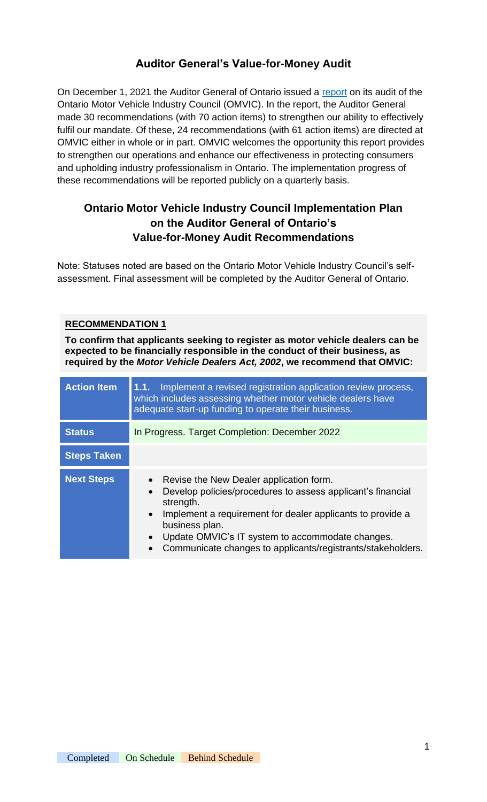# **Auditor General's Value-for-Money Audit**

On December 1, 2021 the Auditor General of Ontario issued a [report](https://www.omvic.on.ca/portal/Portals/0/pdf/communications/AR_OMVIC_en21.pdf) on its audit of the Ontario Motor Vehicle Industry Council (OMVIC). In the report, the Auditor General made 30 recommendations (with 70 action items) to strengthen our ability to effectively fulfil our mandate. Of these, 24 recommendations (with 61 action items) are directed at OMVIC either in whole or in part. OMVIC welcomes the opportunity this report provides to strengthen our operations and enhance our effectiveness in protecting consumers and upholding industry professionalism in Ontario. The implementation progress of these recommendations will be reported publicly on a quarterly basis.

# **Ontario Motor Vehicle Industry Council Implementation Plan on the Auditor General of Ontario's Value-for-Money Audit Recommendations**

Note: Statuses noted are based on the Ontario Motor Vehicle Industry Council's selfassessment. Final assessment will be completed by the Auditor General of Ontario.

## **RECOMMENDATION 1**

**To confirm that applicants seeking to register as motor vehicle dealers can be expected to be financially responsible in the conduct of their business, as required by the** *Motor Vehicle Dealers Act, 2002***, we recommend that OMVIC:**

| <b>Action Item</b> | Implement a revised registration application review process,<br>1.1.<br>which includes assessing whether motor vehicle dealers have<br>adequate start-up funding to operate their business.                                                                                                                                                                                             |
|--------------------|-----------------------------------------------------------------------------------------------------------------------------------------------------------------------------------------------------------------------------------------------------------------------------------------------------------------------------------------------------------------------------------------|
| <b>Status</b>      | In Progress. Target Completion: December 2022                                                                                                                                                                                                                                                                                                                                           |
| <b>Steps Taken</b> |                                                                                                                                                                                                                                                                                                                                                                                         |
| <b>Next Steps</b>  | Revise the New Dealer application form.<br>$\bullet$<br>Develop policies/procedures to assess applicant's financial<br>$\bullet$<br>strength.<br>Implement a requirement for dealer applicants to provide a<br>$\bullet$<br>business plan.<br>Update OMVIC's IT system to accommodate changes.<br>$\bullet$<br>Communicate changes to applicants/registrants/stakeholders.<br>$\bullet$ |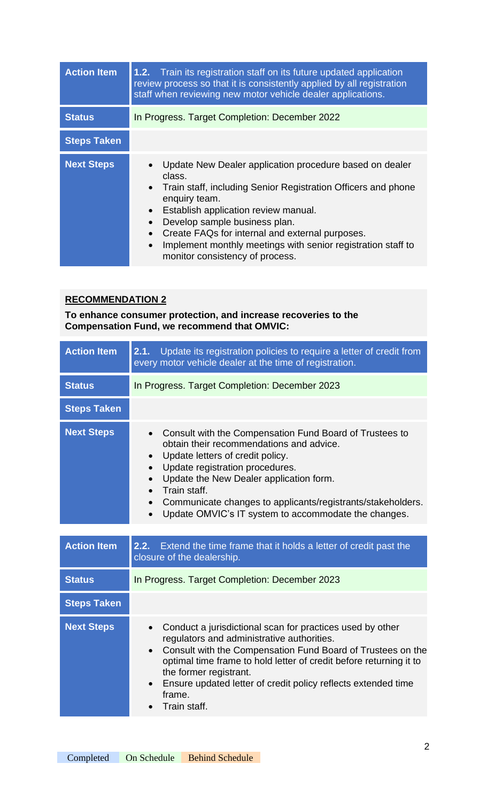| <b>Action Item</b> | Train its registration staff on its future updated application<br>1.2.<br>review process so that it is consistently applied by all registration<br>staff when reviewing new motor vehicle dealer applications.                                                                                                                                                                                                                                      |
|--------------------|-----------------------------------------------------------------------------------------------------------------------------------------------------------------------------------------------------------------------------------------------------------------------------------------------------------------------------------------------------------------------------------------------------------------------------------------------------|
| <b>Status</b>      | In Progress. Target Completion: December 2022                                                                                                                                                                                                                                                                                                                                                                                                       |
| <b>Steps Taken</b> |                                                                                                                                                                                                                                                                                                                                                                                                                                                     |
| <b>Next Steps</b>  | Update New Dealer application procedure based on dealer<br>class.<br>Train staff, including Senior Registration Officers and phone<br>$\bullet$<br>enquiry team.<br>Establish application review manual.<br>$\bullet$<br>Develop sample business plan.<br>$\bullet$<br>Create FAQs for internal and external purposes.<br>$\bullet$<br>Implement monthly meetings with senior registration staff to<br>$\bullet$<br>monitor consistency of process. |

**To enhance consumer protection, and increase recoveries to the Compensation Fund, we recommend that OMVIC:**

| <b>Action Item</b> | Update its registration policies to require a letter of credit from<br>2.1.<br>every motor vehicle dealer at the time of registration.                                                                                                                                                                                                                                                                                        |
|--------------------|-------------------------------------------------------------------------------------------------------------------------------------------------------------------------------------------------------------------------------------------------------------------------------------------------------------------------------------------------------------------------------------------------------------------------------|
| <b>Status</b>      | In Progress. Target Completion: December 2023                                                                                                                                                                                                                                                                                                                                                                                 |
| <b>Steps Taken</b> |                                                                                                                                                                                                                                                                                                                                                                                                                               |
| <b>Next Steps</b>  | Consult with the Compensation Fund Board of Trustees to<br>obtain their recommendations and advice.<br>Update letters of credit policy.<br>$\bullet$<br>Update registration procedures.<br>$\bullet$<br>Update the New Dealer application form.<br>Train staff.<br>$\bullet$<br>Communicate changes to applicants/registrants/stakeholders.<br>$\bullet$<br>Update OMVIC's IT system to accommodate the changes.<br>$\bullet$ |
| <b>Action Item</b> | 2.2.<br>Extend the time frame that it holds a letter of credit past the<br>closure of the dealership.                                                                                                                                                                                                                                                                                                                         |
| <b>Status</b>      | In Progress. Target Completion: December 2023                                                                                                                                                                                                                                                                                                                                                                                 |
| <b>Steps Taken</b> |                                                                                                                                                                                                                                                                                                                                                                                                                               |
| <b>Next Steps</b>  | Conduct a jurisdictional scan for practices used by other<br>$\bullet$<br>regulators and administrative authorities.                                                                                                                                                                                                                                                                                                          |

• Consult with the Compensation Fund Board of Trustees on the optimal time frame to hold letter of credit before returning it to the former registrant.

- Ensure updated letter of credit policy reflects extended time frame.
- Train staff.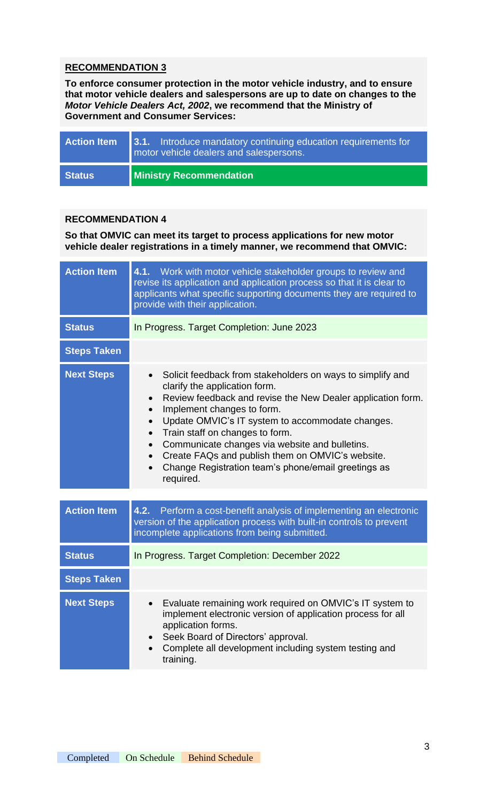**To enforce consumer protection in the motor vehicle industry, and to ensure that motor vehicle dealers and salespersons are up to date on changes to the**  *Motor Vehicle Dealers Act, 2002***, we recommend that the Ministry of Government and Consumer Services:**

| <b>Action Item</b> | 3.1. Introduce mandatory continuing education requirements for<br>motor vehicle dealers and salespersons. |
|--------------------|-----------------------------------------------------------------------------------------------------------|
| <b>Status</b>      | <b>Ministry Recommendation</b>                                                                            |

#### **RECOMMENDATION 4**

**So that OMVIC can meet its target to process applications for new motor vehicle dealer registrations in a timely manner, we recommend that OMVIC:**

| <b>Action Item</b> | 4.1. Work with motor vehicle stakeholder groups to review and<br>revise its application and application process so that it is clear to<br>applicants what specific supporting documents they are required to<br>provide with their application.                                                                                                                                                                                                                                                  |
|--------------------|--------------------------------------------------------------------------------------------------------------------------------------------------------------------------------------------------------------------------------------------------------------------------------------------------------------------------------------------------------------------------------------------------------------------------------------------------------------------------------------------------|
| <b>Status</b>      | In Progress. Target Completion: June 2023                                                                                                                                                                                                                                                                                                                                                                                                                                                        |
| <b>Steps Taken</b> |                                                                                                                                                                                                                                                                                                                                                                                                                                                                                                  |
| <b>Next Steps</b>  | Solicit feedback from stakeholders on ways to simplify and<br>$\bullet$<br>clarify the application form.<br>Review feedback and revise the New Dealer application form.<br>Implement changes to form.<br>Update OMVIC's IT system to accommodate changes.<br>$\bullet$<br>Train staff on changes to form.<br>Communicate changes via website and bulletins.<br>Create FAQs and publish them on OMVIC's website.<br>Change Registration team's phone/email greetings as<br>$\bullet$<br>required. |
| <b>Action Item</b> | 4.2. Perform a cost-benefit analysis of implementing an electronic<br>version of the application process with built-in controls to prevent<br>incomplete applications from being submitted.                                                                                                                                                                                                                                                                                                      |
| <b>Status</b>      | In Progress. Target Completion: December 2022                                                                                                                                                                                                                                                                                                                                                                                                                                                    |
| <b>Steps Taken</b> |                                                                                                                                                                                                                                                                                                                                                                                                                                                                                                  |
| <b>Next Steps</b>  | Evaluate remaining work required on OMVIC's IT system to<br>$\bullet$<br>implement electronic version of application process for all<br>application forms.<br>Seek Board of Directors' approval.<br>Complete all development including system testing and<br>$\bullet$<br>training.                                                                                                                                                                                                              |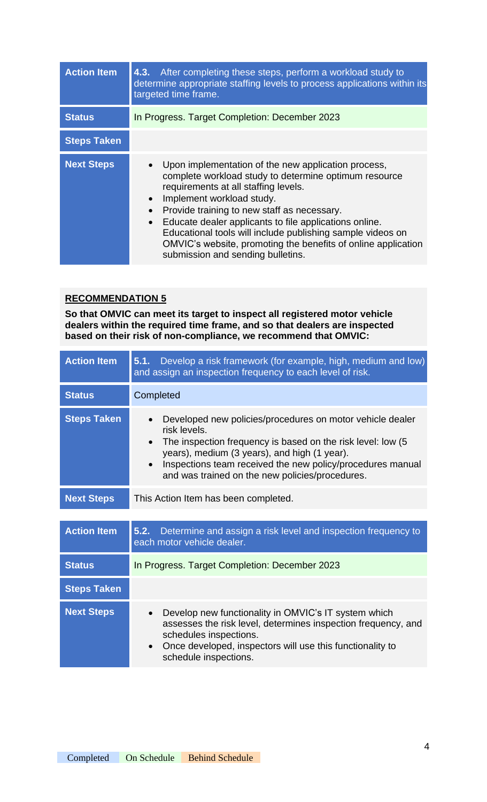| <b>Action Item</b> | 4.3. After completing these steps, perform a workload study to<br>determine appropriate staffing levels to process applications within its<br>targeted time frame.                                                                                                                                                                                                                                                                                                                       |
|--------------------|------------------------------------------------------------------------------------------------------------------------------------------------------------------------------------------------------------------------------------------------------------------------------------------------------------------------------------------------------------------------------------------------------------------------------------------------------------------------------------------|
| <b>Status</b>      | In Progress. Target Completion: December 2023                                                                                                                                                                                                                                                                                                                                                                                                                                            |
| <b>Steps Taken</b> |                                                                                                                                                                                                                                                                                                                                                                                                                                                                                          |
| <b>Next Steps</b>  | Upon implementation of the new application process,<br>complete workload study to determine optimum resource<br>requirements at all staffing levels.<br>Implement workload study.<br>$\bullet$<br>Provide training to new staff as necessary.<br>Educate dealer applicants to file applications online.<br>$\bullet$<br>Educational tools will include publishing sample videos on<br>OMVIC's website, promoting the benefits of online application<br>submission and sending bulletins. |

**So that OMVIC can meet its target to inspect all registered motor vehicle dealers within the required time frame, and so that dealers are inspected based on their risk of non-compliance, we recommend that OMVIC:**

| <b>Action Item</b> | Develop a risk framework (for example, high, medium and low)<br>5.1.<br>and assign an inspection frequency to each level of risk.                                                                                                                                                                                       |
|--------------------|-------------------------------------------------------------------------------------------------------------------------------------------------------------------------------------------------------------------------------------------------------------------------------------------------------------------------|
| <b>Status</b>      | Completed                                                                                                                                                                                                                                                                                                               |
| <b>Steps Taken</b> | Developed new policies/procedures on motor vehicle dealer<br>risk levels.<br>The inspection frequency is based on the risk level: low (5)<br>$\bullet$<br>years), medium (3 years), and high (1 year).<br>Inspections team received the new policy/procedures manual<br>and was trained on the new policies/procedures. |
| <b>Next Steps</b>  | This Action Item has been completed.                                                                                                                                                                                                                                                                                    |
|                    |                                                                                                                                                                                                                                                                                                                         |
| <b>Action Item</b> | Determine and assign a risk level and inspection frequency to<br>5.2.<br>each motor vehicle dealer.                                                                                                                                                                                                                     |
| <b>Status</b>      | In Progress. Target Completion: December 2023                                                                                                                                                                                                                                                                           |
| <b>Steps Taken</b> |                                                                                                                                                                                                                                                                                                                         |
| <b>Next Steps</b>  | Develop new functionality in OMVIC's IT system which<br>$\bullet$<br>assesses the risk level, determines inspection frequency, and<br>schedules inspections.<br>Once developed, inspectors will use this functionality to<br>$\bullet$<br>schedule inspections.                                                         |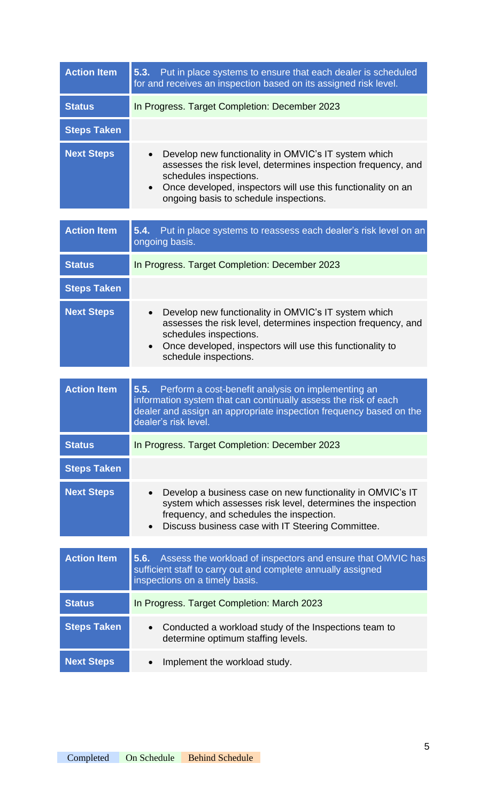| <b>Action Item</b> | 5.3.<br>Put in place systems to ensure that each dealer is scheduled<br>for and receives an inspection based on its assigned risk level.                                                                                                                                            |
|--------------------|-------------------------------------------------------------------------------------------------------------------------------------------------------------------------------------------------------------------------------------------------------------------------------------|
| <b>Status</b>      | In Progress. Target Completion: December 2023                                                                                                                                                                                                                                       |
| <b>Steps Taken</b> |                                                                                                                                                                                                                                                                                     |
| <b>Next Steps</b>  | Develop new functionality in OMVIC's IT system which<br>$\bullet$<br>assesses the risk level, determines inspection frequency, and<br>schedules inspections.<br>Once developed, inspectors will use this functionality on an<br>$\bullet$<br>ongoing basis to schedule inspections. |
|                    |                                                                                                                                                                                                                                                                                     |
| <b>Action Item</b> | Put in place systems to reassess each dealer's risk level on an<br>5.4.<br>ongoing basis.                                                                                                                                                                                           |
| <b>Status</b>      | In Progress. Target Completion: December 2023                                                                                                                                                                                                                                       |
| <b>Steps Taken</b> |                                                                                                                                                                                                                                                                                     |
| <b>Next Steps</b>  | Develop new functionality in OMVIC's IT system which<br>$\bullet$<br>assesses the risk level, determines inspection frequency, and<br>schedules inspections.<br>Once developed, inspectors will use this functionality to<br>$\bullet$<br>schedule inspections.                     |
| <b>Action Item</b> | 5.5.<br>Perform a cost-benefit analysis on implementing an<br>information system that can continually assess the risk of each<br>dealer and assign an appropriate inspection frequency based on the<br>dealer's risk level.                                                         |
| <b>Status</b>      | In Progress. Target Completion: December 2023                                                                                                                                                                                                                                       |
| <b>Steps Taken</b> |                                                                                                                                                                                                                                                                                     |
| <b>Next Steps</b>  | Develop a business case on new functionality in OMVIC's IT<br>system which assesses risk level, determines the inspection<br>frequency, and schedules the inspection.<br>Discuss business case with IT Steering Committee.                                                          |
| <b>Action Item</b> | Assess the workload of inspectors and ensure that OMVIC has<br>5.6.<br>sufficient staff to carry out and complete annually assigned<br>inspections on a timely basis.                                                                                                               |
| <b>Status</b>      | In Progress. Target Completion: March 2023                                                                                                                                                                                                                                          |
| <b>Steps Taken</b> | Conducted a workload study of the Inspections team to<br>$\bullet$<br>determine optimum staffing levels.                                                                                                                                                                            |
| <b>Next Steps</b>  | Implement the workload study.<br>$\bullet$                                                                                                                                                                                                                                          |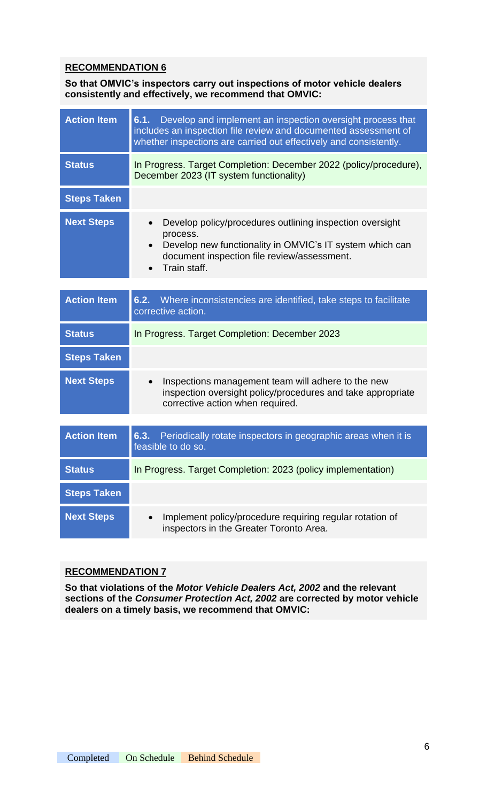**So that OMVIC's inspectors carry out inspections of motor vehicle dealers consistently and effectively, we recommend that OMVIC:**

| <b>Action Item</b> | 6.1. Develop and implement an inspection oversight process that<br>includes an inspection file review and documented assessment of<br>whether inspections are carried out effectively and consistently. |
|--------------------|---------------------------------------------------------------------------------------------------------------------------------------------------------------------------------------------------------|
| <b>Status</b>      | In Progress. Target Completion: December 2022 (policy/procedure),<br>December 2023 (IT system functionality)                                                                                            |
| <b>Steps Taken</b> |                                                                                                                                                                                                         |
| <b>Next Steps</b>  | Develop policy/procedures outlining inspection oversight<br>process.<br>Develop new functionality in OMVIC's IT system which can<br>document inspection file review/assessment.<br>Train staff.         |
|                    |                                                                                                                                                                                                         |
| <b>Action Item</b> | 6.2. Where inconsistencies are identified, take steps to facilitate<br>corrective action.                                                                                                               |
| <b>Status</b>      | In Progress. Target Completion: December 2023                                                                                                                                                           |
| <b>Steps Taken</b> |                                                                                                                                                                                                         |
| <b>Next Steps</b>  | Inspections management team will adhere to the new<br>inspection oversight policy/procedures and take appropriate<br>corrective action when required.                                                   |
|                    |                                                                                                                                                                                                         |
| <b>Action Item</b> | 6.3. Periodically rotate inspectors in geographic areas when it is<br>feasible to do so.                                                                                                                |
| <b>Status</b>      | In Progress. Target Completion: 2023 (policy implementation)                                                                                                                                            |
| <b>Steps Taken</b> |                                                                                                                                                                                                         |
|                    |                                                                                                                                                                                                         |

## **RECOMMENDATION 7**

**So that violations of the** *Motor Vehicle Dealers Act, 2002* **and the relevant sections of the** *Consumer Protection Act, 2002* **are corrected by motor vehicle dealers on a timely basis, we recommend that OMVIC:**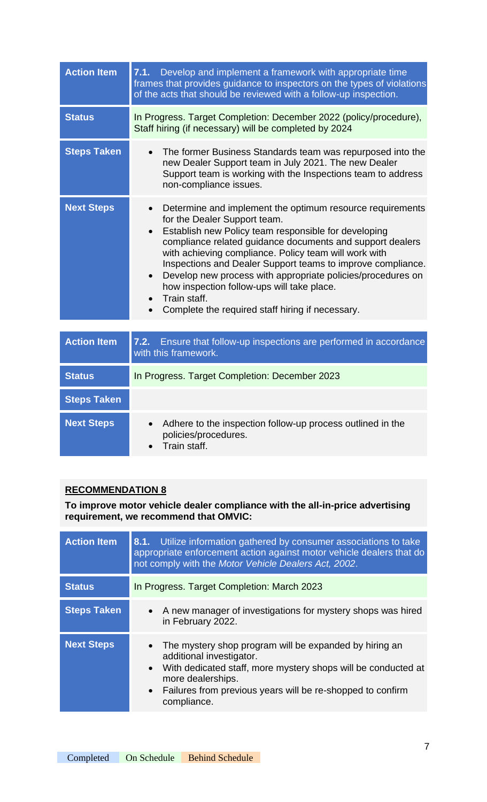| <b>Action Item</b> | 7.1. Develop and implement a framework with appropriate time<br>frames that provides guidance to inspectors on the types of violations<br>of the acts that should be reviewed with a follow-up inspection.                                                                                                                                                                                                                                                                                                                                                     |
|--------------------|----------------------------------------------------------------------------------------------------------------------------------------------------------------------------------------------------------------------------------------------------------------------------------------------------------------------------------------------------------------------------------------------------------------------------------------------------------------------------------------------------------------------------------------------------------------|
| <b>Status</b>      | In Progress. Target Completion: December 2022 (policy/procedure),<br>Staff hiring (if necessary) will be completed by 2024                                                                                                                                                                                                                                                                                                                                                                                                                                     |
| <b>Steps Taken</b> | • The former Business Standards team was repurposed into the<br>new Dealer Support team in July 2021. The new Dealer<br>Support team is working with the Inspections team to address<br>non-compliance issues.                                                                                                                                                                                                                                                                                                                                                 |
| <b>Next Steps</b>  | Determine and implement the optimum resource requirements<br>$\bullet$<br>for the Dealer Support team.<br>Establish new Policy team responsible for developing<br>$\bullet$<br>compliance related guidance documents and support dealers<br>with achieving compliance. Policy team will work with<br>Inspections and Dealer Support teams to improve compliance.<br>Develop new process with appropriate policies/procedures on<br>$\bullet$<br>how inspection follow-ups will take place.<br>Train staff.<br>Complete the required staff hiring if necessary. |

| <b>Action Item</b> | Ensure that follow-up inspections are performed in accordance<br>7.2.<br>with this framework.                             |
|--------------------|---------------------------------------------------------------------------------------------------------------------------|
| <b>Status</b>      | In Progress. Target Completion: December 2023                                                                             |
| <b>Steps Taken</b> |                                                                                                                           |
| <b>Next Steps</b>  | Adhere to the inspection follow-up process outlined in the<br>$\bullet$<br>policies/procedures.<br>$\bullet$ Train staff. |

**To improve motor vehicle dealer compliance with the all-in-price advertising requirement, we recommend that OMVIC:**

| <b>Action Item</b> | <b>8.1.</b> Utilize information gathered by consumer associations to take<br>appropriate enforcement action against motor vehicle dealers that do<br>not comply with the Motor Vehicle Dealers Act, 2002.                                                                         |
|--------------------|-----------------------------------------------------------------------------------------------------------------------------------------------------------------------------------------------------------------------------------------------------------------------------------|
| <b>Status</b>      | In Progress. Target Completion: March 2023                                                                                                                                                                                                                                        |
| <b>Steps Taken</b> | • A new manager of investigations for mystery shops was hired<br>in February 2022.                                                                                                                                                                                                |
| <b>Next Steps</b>  | • The mystery shop program will be expanded by hiring an<br>additional investigator.<br>With dedicated staff, more mystery shops will be conducted at<br>$\bullet$<br>more dealerships.<br>Failures from previous years will be re-shopped to confirm<br>$\bullet$<br>compliance. |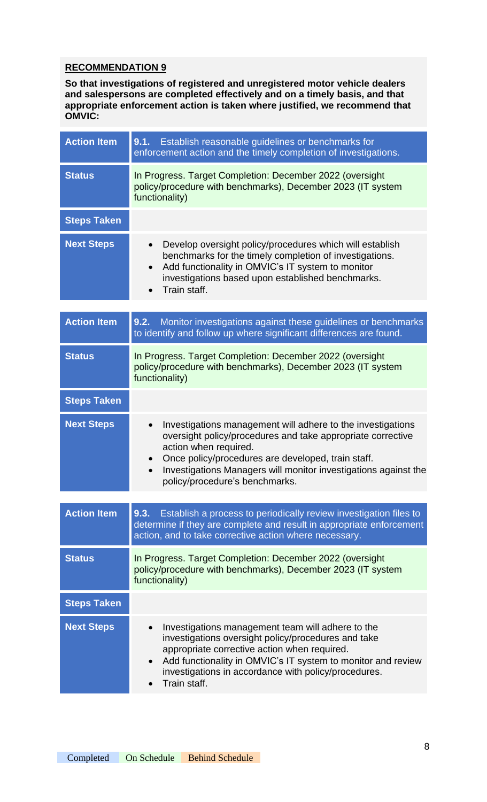**So that investigations of registered and unregistered motor vehicle dealers and salespersons are completed effectively and on a timely basis, and that appropriate enforcement action is taken where justified, we recommend that OMVIC:**

| <b>Action Item</b> | 9.1. Establish reasonable guidelines or benchmarks for<br>enforcement action and the timely completion of investigations.                                                                                                                                                                                                                |
|--------------------|------------------------------------------------------------------------------------------------------------------------------------------------------------------------------------------------------------------------------------------------------------------------------------------------------------------------------------------|
| <b>Status</b>      | In Progress. Target Completion: December 2022 (oversight<br>policy/procedure with benchmarks), December 2023 (IT system<br>functionality)                                                                                                                                                                                                |
| <b>Steps Taken</b> |                                                                                                                                                                                                                                                                                                                                          |
| <b>Next Steps</b>  | Develop oversight policy/procedures which will establish<br>$\bullet$<br>benchmarks for the timely completion of investigations.<br>Add functionality in OMVIC's IT system to monitor<br>$\bullet$<br>investigations based upon established benchmarks.<br>Train staff.                                                                  |
| <b>Action Item</b> | Monitor investigations against these guidelines or benchmarks<br>9.2.<br>to identify and follow up where significant differences are found.                                                                                                                                                                                              |
| <b>Status</b>      | In Progress. Target Completion: December 2022 (oversight<br>policy/procedure with benchmarks), December 2023 (IT system<br>functionality)                                                                                                                                                                                                |
| <b>Steps Taken</b> |                                                                                                                                                                                                                                                                                                                                          |
| <b>Next Steps</b>  | Investigations management will adhere to the investigations<br>$\bullet$<br>oversight policy/procedures and take appropriate corrective<br>action when required.<br>Once policy/procedures are developed, train staff.<br>$\bullet$<br>Investigations Managers will monitor investigations against the<br>policy/procedure's benchmarks. |
|                    |                                                                                                                                                                                                                                                                                                                                          |
| <b>Action Item</b> | 9.3.<br>Establish a process to periodically review investigation files to<br>determine if they are complete and result in appropriate enforcement<br>action, and to take corrective action where necessary.                                                                                                                              |
| <b>Status</b>      | In Progress. Target Completion: December 2022 (oversight<br>policy/procedure with benchmarks), December 2023 (IT system<br>functionality)                                                                                                                                                                                                |
| <b>Steps Taken</b> |                                                                                                                                                                                                                                                                                                                                          |
| <b>Next Steps</b>  | Investigations management team will adhere to the<br>investigations oversight policy/procedures and take<br>appropriate corrective action when required.<br>Add functionality in OMVIC's IT system to monitor and review<br>investigations in accordance with policy/procedures.<br>Train staff.                                         |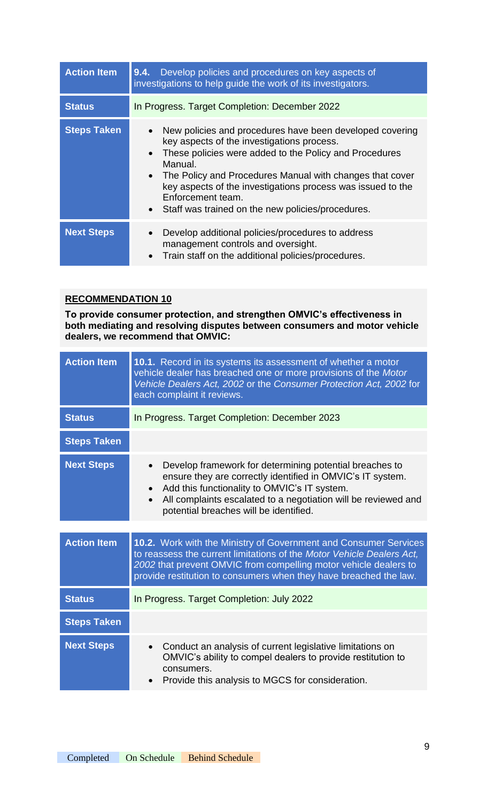| <b>Action Item</b> | Develop policies and procedures on key aspects of<br>9.4.<br>investigations to help guide the work of its investigators.                                                                                                                                                                                                                                                                                                  |
|--------------------|---------------------------------------------------------------------------------------------------------------------------------------------------------------------------------------------------------------------------------------------------------------------------------------------------------------------------------------------------------------------------------------------------------------------------|
| <b>Status</b>      | In Progress. Target Completion: December 2022                                                                                                                                                                                                                                                                                                                                                                             |
| <b>Steps Taken</b> | New policies and procedures have been developed covering<br>$\bullet$<br>key aspects of the investigations process.<br>These policies were added to the Policy and Procedures<br>$\bullet$<br>Manual.<br>• The Policy and Procedures Manual with changes that cover<br>key aspects of the investigations process was issued to the<br>Enforcement team.<br>Staff was trained on the new policies/procedures.<br>$\bullet$ |
| <b>Next Steps</b>  | Develop additional policies/procedures to address<br>$\bullet$<br>management controls and oversight.<br>Train staff on the additional policies/procedures.<br>$\bullet$                                                                                                                                                                                                                                                   |

**To provide consumer protection, and strengthen OMVIC's effectiveness in both mediating and resolving disputes between consumers and motor vehicle dealers, we recommend that OMVIC:**

| <b>Action Item</b> | 10.1. Record in its systems its assessment of whether a motor<br>vehicle dealer has breached one or more provisions of the Motor<br>Vehicle Dealers Act, 2002 or the Consumer Protection Act, 2002 for<br>each complaint it reviews.                                                                        |
|--------------------|-------------------------------------------------------------------------------------------------------------------------------------------------------------------------------------------------------------------------------------------------------------------------------------------------------------|
| <b>Status</b>      | In Progress. Target Completion: December 2023                                                                                                                                                                                                                                                               |
| <b>Steps Taken</b> |                                                                                                                                                                                                                                                                                                             |
| <b>Next Steps</b>  | Develop framework for determining potential breaches to<br>$\bullet$<br>ensure they are correctly identified in OMVIC's IT system.<br>Add this functionality to OMVIC's IT system.<br>All complaints escalated to a negotiation will be reviewed and<br>$\bullet$<br>potential breaches will be identified. |
| <b>Action Item</b> | 10.2. Work with the Ministry of Government and Consumer Services<br>to reassess the current limitations of the Motor Vehicle Dealers Act,<br>2002 that prevent OMVIC from compelling motor vehicle dealers to<br>provide restitution to consumers when they have breached the law.                          |
| <b>Status</b>      | In Progress. Target Completion: July 2022                                                                                                                                                                                                                                                                   |
| <b>Steps Taken</b> |                                                                                                                                                                                                                                                                                                             |
| <b>Next Steps</b>  | Conduct an analysis of current legislative limitations on<br>$\bullet$<br>OMVIC's ability to compel dealers to provide restitution to<br>consumers.<br>Provide this analysis to MGCS for consideration.                                                                                                     |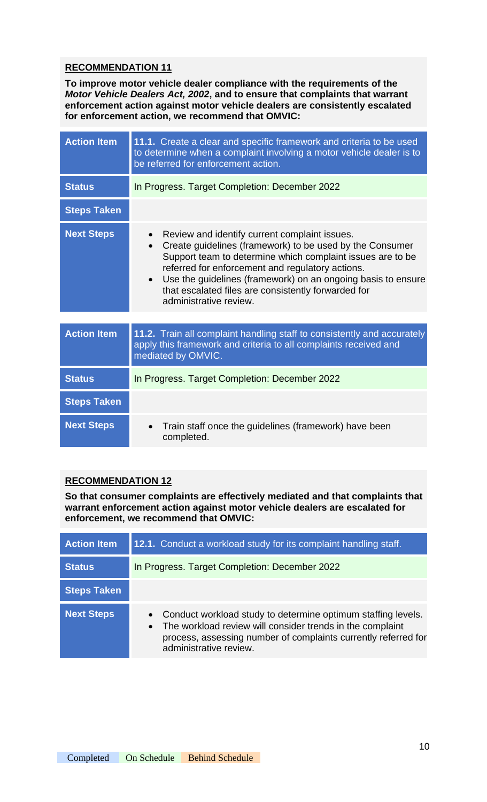**To improve motor vehicle dealer compliance with the requirements of the**  *Motor Vehicle Dealers Act, 2002***, and to ensure that complaints that warrant enforcement action against motor vehicle dealers are consistently escalated for enforcement action, we recommend that OMVIC:**

| <b>Action Item</b> | 11.1. Create a clear and specific framework and criteria to be used<br>to determine when a complaint involving a motor vehicle dealer is to<br>be referred for enforcement action.                                                                                                                                                                                                                                  |
|--------------------|---------------------------------------------------------------------------------------------------------------------------------------------------------------------------------------------------------------------------------------------------------------------------------------------------------------------------------------------------------------------------------------------------------------------|
| <b>Status</b>      | In Progress. Target Completion: December 2022                                                                                                                                                                                                                                                                                                                                                                       |
| <b>Steps Taken</b> |                                                                                                                                                                                                                                                                                                                                                                                                                     |
| <b>Next Steps</b>  | Review and identify current complaint issues.<br>$\bullet$<br>Create guidelines (framework) to be used by the Consumer<br>$\bullet$<br>Support team to determine which complaint issues are to be<br>referred for enforcement and regulatory actions.<br>Use the guidelines (framework) on an ongoing basis to ensure<br>$\bullet$<br>that escalated files are consistently forwarded for<br>administrative review. |
|                    |                                                                                                                                                                                                                                                                                                                                                                                                                     |
| <b>Action Item</b> | 11.2. Train all complaint handling staff to consistently and accurately<br>apply this framework and criteria to all complaints received and<br>mediated by OMVIC.                                                                                                                                                                                                                                                   |
| <b>Status</b>      | In Progress. Target Completion: December 2022                                                                                                                                                                                                                                                                                                                                                                       |
| <b>Steps Taken</b> |                                                                                                                                                                                                                                                                                                                                                                                                                     |
| <b>Next Steps</b>  | Train staff once the guidelines (framework) have been<br>completed.                                                                                                                                                                                                                                                                                                                                                 |

## **RECOMMENDATION 12**

**So that consumer complaints are effectively mediated and that complaints that warrant enforcement action against motor vehicle dealers are escalated for enforcement, we recommend that OMVIC:**

| <b>Action Item</b> | 12.1. Conduct a workload study for its complaint handling staff.                                                                                                                                                                   |
|--------------------|------------------------------------------------------------------------------------------------------------------------------------------------------------------------------------------------------------------------------------|
| <b>Status</b>      | In Progress. Target Completion: December 2022                                                                                                                                                                                      |
| <b>Steps Taken</b> |                                                                                                                                                                                                                                    |
| <b>Next Steps</b>  | Conduct workload study to determine optimum staffing levels.<br>The workload review will consider trends in the complaint<br>$\bullet$<br>process, assessing number of complaints currently referred for<br>administrative review. |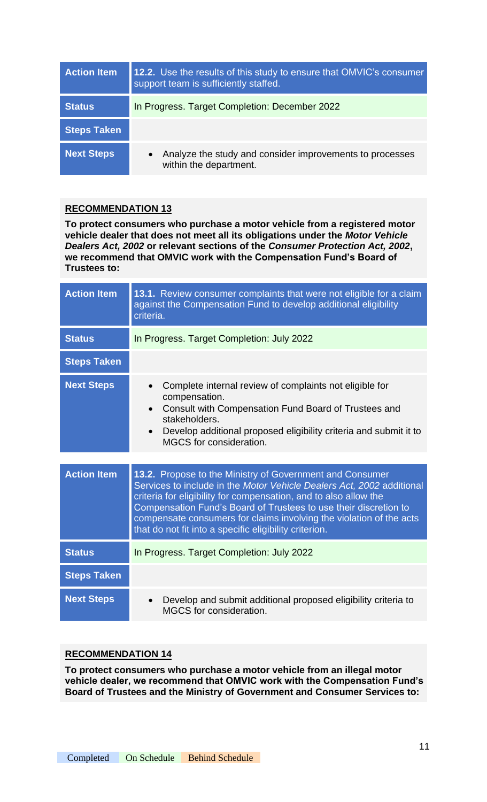| <b>Action Item</b> | 12.2. Use the results of this study to ensure that OMVIC's consumer<br>support team is sufficiently staffed. |
|--------------------|--------------------------------------------------------------------------------------------------------------|
| <b>Status</b>      | In Progress. Target Completion: December 2022                                                                |
| <b>Steps Taken</b> |                                                                                                              |
| <b>Next Steps</b>  | Analyze the study and consider improvements to processes<br>$\bullet$<br>within the department.              |

**To protect consumers who purchase a motor vehicle from a registered motor vehicle dealer that does not meet all its obligations under the** *Motor Vehicle Dealers Act, 2002* **or relevant sections of the** *Consumer Protection Act, 2002***, we recommend that OMVIC work with the Compensation Fund's Board of Trustees to:**

| <b>Action Item</b> | 13.1. Review consumer complaints that were not eligible for a claim<br>against the Compensation Fund to develop additional eligibility<br>criteria.                                                                                                                                                                                            |
|--------------------|------------------------------------------------------------------------------------------------------------------------------------------------------------------------------------------------------------------------------------------------------------------------------------------------------------------------------------------------|
| <b>Status</b>      | In Progress. Target Completion: July 2022                                                                                                                                                                                                                                                                                                      |
| <b>Steps Taken</b> |                                                                                                                                                                                                                                                                                                                                                |
| <b>Next Steps</b>  | Complete internal review of complaints not eligible for<br>$\bullet$<br>compensation.<br>Consult with Compensation Fund Board of Trustees and<br>$\bullet$<br>stakeholders.<br>Develop additional proposed eligibility criteria and submit it to<br>$\bullet$<br>MGCS for consideration.                                                       |
| <b>Action Item</b> | 13.2. Propose to the Ministry of Government and Consumer                                                                                                                                                                                                                                                                                       |
|                    | Services to include in the Motor Vehicle Dealers Act, 2002 additional<br>criteria for eligibility for compensation, and to also allow the<br>Compensation Fund's Board of Trustees to use their discretion to<br>compensate consumers for claims involving the violation of the acts<br>that do not fit into a specific eligibility criterion. |
| <b>Status</b>      | In Progress. Target Completion: July 2022                                                                                                                                                                                                                                                                                                      |
| <b>Steps Taken</b> |                                                                                                                                                                                                                                                                                                                                                |
| <b>Next Steps</b>  | Develop and submit additional proposed eligibility criteria to<br>$\bullet$<br>MGCS for consideration.                                                                                                                                                                                                                                         |

## **RECOMMENDATION 14**

**To protect consumers who purchase a motor vehicle from an illegal motor vehicle dealer, we recommend that OMVIC work with the Compensation Fund's Board of Trustees and the Ministry of Government and Consumer Services to:**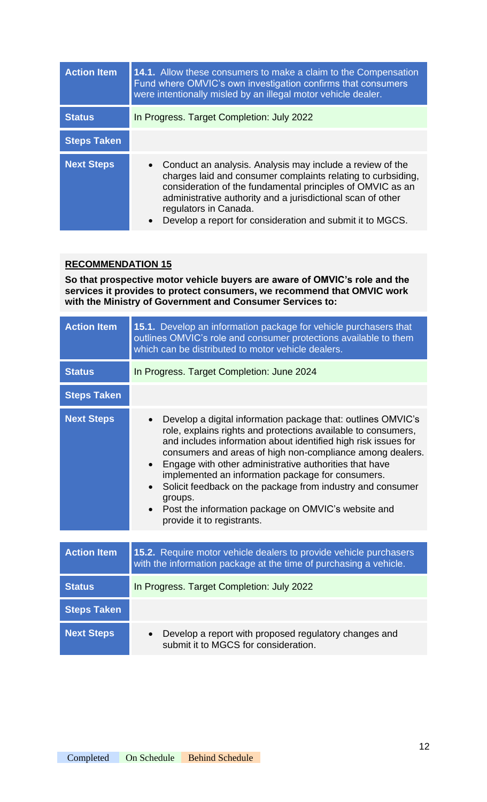| <b>Action Item</b> | <b>14.1.</b> Allow these consumers to make a claim to the Compensation<br>Fund where OMVIC's own investigation confirms that consumers<br>were intentionally misled by an illegal motor vehicle dealer.                                                                                                                                                     |
|--------------------|-------------------------------------------------------------------------------------------------------------------------------------------------------------------------------------------------------------------------------------------------------------------------------------------------------------------------------------------------------------|
| <b>Status</b>      | In Progress. Target Completion: July 2022                                                                                                                                                                                                                                                                                                                   |
| <b>Steps Taken</b> |                                                                                                                                                                                                                                                                                                                                                             |
| <b>Next Steps</b>  | • Conduct an analysis. Analysis may include a review of the<br>charges laid and consumer complaints relating to curbsiding,<br>consideration of the fundamental principles of OMVIC as an<br>administrative authority and a jurisdictional scan of other<br>regulators in Canada.<br>Develop a report for consideration and submit it to MGCS.<br>$\bullet$ |

**So that prospective motor vehicle buyers are aware of OMVIC's role and the services it provides to protect consumers, we recommend that OMVIC work with the Ministry of Government and Consumer Services to:**

| <b>Action Item</b> | 15.1. Develop an information package for vehicle purchasers that<br>outlines OMVIC's role and consumer protections available to them<br>which can be distributed to motor vehicle dealers.                                                                                                                                                                                                                                                                                                                                                                                                    |
|--------------------|-----------------------------------------------------------------------------------------------------------------------------------------------------------------------------------------------------------------------------------------------------------------------------------------------------------------------------------------------------------------------------------------------------------------------------------------------------------------------------------------------------------------------------------------------------------------------------------------------|
| <b>Status</b>      | In Progress. Target Completion: June 2024                                                                                                                                                                                                                                                                                                                                                                                                                                                                                                                                                     |
| <b>Steps Taken</b> |                                                                                                                                                                                                                                                                                                                                                                                                                                                                                                                                                                                               |
| <b>Next Steps</b>  | Develop a digital information package that: outlines OMVIC's<br>$\bullet$<br>role, explains rights and protections available to consumers,<br>and includes information about identified high risk issues for<br>consumers and areas of high non-compliance among dealers.<br>Engage with other administrative authorities that have<br>$\bullet$<br>implemented an information package for consumers.<br>Solicit feedback on the package from industry and consumer<br>$\bullet$<br>groups.<br>Post the information package on OMVIC's website and<br>$\bullet$<br>provide it to registrants. |
|                    |                                                                                                                                                                                                                                                                                                                                                                                                                                                                                                                                                                                               |
| <b>Action Item</b> | 15.2. Require motor vehicle dealers to provide vehicle purchasers<br>with the information package at the time of purchasing a vehicle.                                                                                                                                                                                                                                                                                                                                                                                                                                                        |
| <b>Status</b>      | In Progress. Target Completion: July 2022                                                                                                                                                                                                                                                                                                                                                                                                                                                                                                                                                     |
| <b>Steps Taken</b> |                                                                                                                                                                                                                                                                                                                                                                                                                                                                                                                                                                                               |
| <b>Next Steps</b>  | Develop a report with proposed regulatory changes and<br>submit it to MGCS for consideration.                                                                                                                                                                                                                                                                                                                                                                                                                                                                                                 |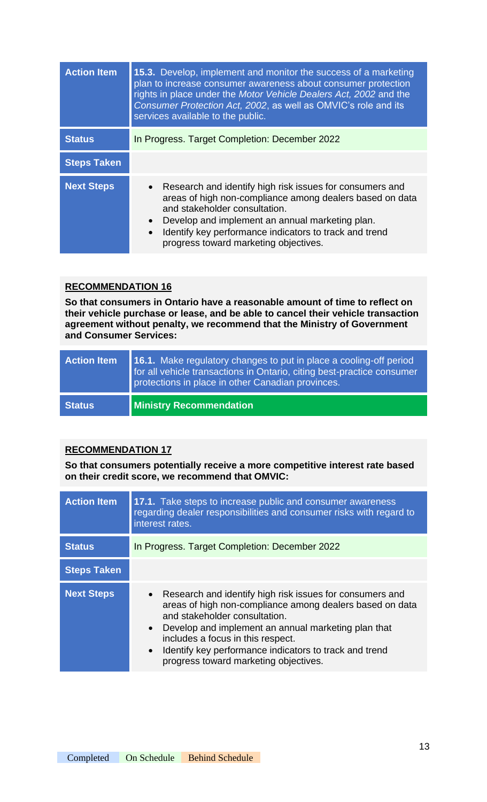| <b>Action Item</b> | 15.3. Develop, implement and monitor the success of a marketing<br>plan to increase consumer awareness about consumer protection<br>rights in place under the Motor Vehicle Dealers Act, 2002 and the<br>Consumer Protection Act, 2002, as well as OMVIC's role and its<br>services available to the public.                            |
|--------------------|-----------------------------------------------------------------------------------------------------------------------------------------------------------------------------------------------------------------------------------------------------------------------------------------------------------------------------------------|
| <b>Status</b>      | In Progress. Target Completion: December 2022                                                                                                                                                                                                                                                                                           |
| <b>Steps Taken</b> |                                                                                                                                                                                                                                                                                                                                         |
| <b>Next Steps</b>  | • Research and identify high risk issues for consumers and<br>areas of high non-compliance among dealers based on data<br>and stakeholder consultation.<br>Develop and implement an annual marketing plan.<br>$\bullet$<br>Identify key performance indicators to track and trend<br>$\bullet$<br>progress toward marketing objectives. |

**So that consumers in Ontario have a reasonable amount of time to reflect on their vehicle purchase or lease, and be able to cancel their vehicle transaction agreement without penalty, we recommend that the Ministry of Government and Consumer Services:**

| <b>Action Item</b> | <b>16.1.</b> Make regulatory changes to put in place a cooling-off period<br>for all vehicle transactions in Ontario, citing best-practice consumer<br>protections in place in other Canadian provinces. |
|--------------------|----------------------------------------------------------------------------------------------------------------------------------------------------------------------------------------------------------|
| <b>Status</b>      | <b>Ministry Recommendation</b>                                                                                                                                                                           |

## **RECOMMENDATION 17**

**So that consumers potentially receive a more competitive interest rate based on their credit score, we recommend that OMVIC:**

| <b>Action Item</b> | 17.1. Take steps to increase public and consumer awareness<br>regarding dealer responsibilities and consumer risks with regard to<br>interest rates.                                                                                                                                                                                                                  |
|--------------------|-----------------------------------------------------------------------------------------------------------------------------------------------------------------------------------------------------------------------------------------------------------------------------------------------------------------------------------------------------------------------|
| <b>Status</b>      | In Progress. Target Completion: December 2022                                                                                                                                                                                                                                                                                                                         |
| <b>Steps Taken</b> |                                                                                                                                                                                                                                                                                                                                                                       |
| <b>Next Steps</b>  | • Research and identify high risk issues for consumers and<br>areas of high non-compliance among dealers based on data<br>and stakeholder consultation.<br>• Develop and implement an annual marketing plan that<br>includes a focus in this respect.<br>Identify key performance indicators to track and trend<br>$\bullet$<br>progress toward marketing objectives. |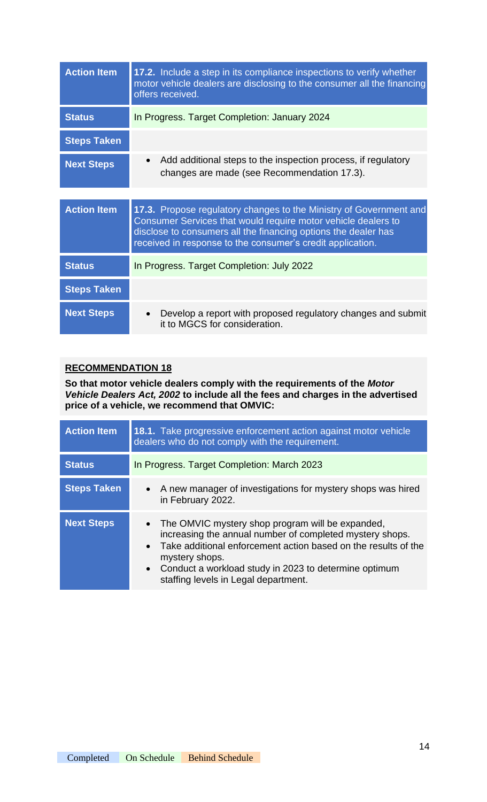| <b>Action Item</b> | 17.2. Include a step in its compliance inspections to verify whether<br>motor vehicle dealers are disclosing to the consumer all the financing<br>offers received.                                                                                                  |
|--------------------|---------------------------------------------------------------------------------------------------------------------------------------------------------------------------------------------------------------------------------------------------------------------|
| <b>Status</b>      | In Progress. Target Completion: January 2024                                                                                                                                                                                                                        |
| <b>Steps Taken</b> |                                                                                                                                                                                                                                                                     |
| <b>Next Steps</b>  | Add additional steps to the inspection process, if regulatory<br>changes are made (see Recommendation 17.3).                                                                                                                                                        |
|                    |                                                                                                                                                                                                                                                                     |
| <b>Action Item</b> | 17.3. Propose regulatory changes to the Ministry of Government and<br>Consumer Services that would require motor vehicle dealers to<br>disclose to consumers all the financing options the dealer has<br>received in response to the consumer's credit application. |
| <b>Status</b>      | In Progress. Target Completion: July 2022                                                                                                                                                                                                                           |
| <b>Steps Taken</b> |                                                                                                                                                                                                                                                                     |
| <b>Next Steps</b>  | Develop a report with proposed regulatory changes and submit<br>it to MGCS for consideration.                                                                                                                                                                       |

**So that motor vehicle dealers comply with the requirements of the** *Motor Vehicle Dealers Act, 2002* **to include all the fees and charges in the advertised price of a vehicle, we recommend that OMVIC:**

| <b>Action Item</b> | <b>18.1.</b> Take progressive enforcement action against motor vehicle<br>dealers who do not comply with the requirement.                                                                                                                                                                                                                |
|--------------------|------------------------------------------------------------------------------------------------------------------------------------------------------------------------------------------------------------------------------------------------------------------------------------------------------------------------------------------|
| <b>Status</b>      | In Progress. Target Completion: March 2023                                                                                                                                                                                                                                                                                               |
| <b>Steps Taken</b> | • A new manager of investigations for mystery shops was hired<br>in February 2022.                                                                                                                                                                                                                                                       |
| <b>Next Steps</b>  | The OMVIC mystery shop program will be expanded,<br>$\bullet$<br>increasing the annual number of completed mystery shops.<br>Take additional enforcement action based on the results of the<br>$\bullet$<br>mystery shops.<br>Conduct a workload study in 2023 to determine optimum<br>$\bullet$<br>staffing levels in Legal department. |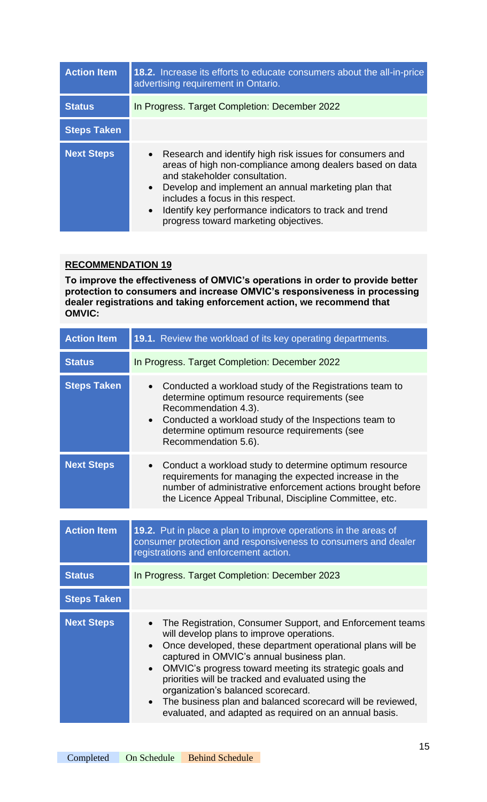| <b>Action Item</b> | 18.2. Increase its efforts to educate consumers about the all-in-price<br>advertising requirement in Ontario.                                                                                                                                                                                                                                                                    |
|--------------------|----------------------------------------------------------------------------------------------------------------------------------------------------------------------------------------------------------------------------------------------------------------------------------------------------------------------------------------------------------------------------------|
| <b>Status</b>      | In Progress. Target Completion: December 2022                                                                                                                                                                                                                                                                                                                                    |
| <b>Steps Taken</b> |                                                                                                                                                                                                                                                                                                                                                                                  |
| <b>Next Steps</b>  | • Research and identify high risk issues for consumers and<br>areas of high non-compliance among dealers based on data<br>and stakeholder consultation.<br>Develop and implement an annual marketing plan that<br>$\bullet$<br>includes a focus in this respect.<br>Identify key performance indicators to track and trend<br>$\bullet$<br>progress toward marketing objectives. |

**To improve the effectiveness of OMVIC's operations in order to provide better protection to consumers and increase OMVIC's responsiveness in processing dealer registrations and taking enforcement action, we recommend that OMVIC:**

| <b>Action Item</b> | 19.1. Review the workload of its key operating departments.                                                                                                                                                                                                                                                                                                                                                                                                                                                                |
|--------------------|----------------------------------------------------------------------------------------------------------------------------------------------------------------------------------------------------------------------------------------------------------------------------------------------------------------------------------------------------------------------------------------------------------------------------------------------------------------------------------------------------------------------------|
| <b>Status</b>      | In Progress. Target Completion: December 2022                                                                                                                                                                                                                                                                                                                                                                                                                                                                              |
| <b>Steps Taken</b> | Conducted a workload study of the Registrations team to<br>$\bullet$<br>determine optimum resource requirements (see<br>Recommendation 4.3).<br>Conducted a workload study of the Inspections team to<br>$\bullet$<br>determine optimum resource requirements (see<br>Recommendation 5.6).                                                                                                                                                                                                                                 |
| <b>Next Steps</b>  | Conduct a workload study to determine optimum resource<br>$\bullet$<br>requirements for managing the expected increase in the<br>number of administrative enforcement actions brought before<br>the Licence Appeal Tribunal, Discipline Committee, etc.                                                                                                                                                                                                                                                                    |
|                    |                                                                                                                                                                                                                                                                                                                                                                                                                                                                                                                            |
| <b>Action Item</b> | 19.2. Put in place a plan to improve operations in the areas of<br>consumer protection and responsiveness to consumers and dealer<br>registrations and enforcement action.                                                                                                                                                                                                                                                                                                                                                 |
| <b>Status</b>      | In Progress. Target Completion: December 2023                                                                                                                                                                                                                                                                                                                                                                                                                                                                              |
| <b>Steps Taken</b> |                                                                                                                                                                                                                                                                                                                                                                                                                                                                                                                            |
| <b>Next Steps</b>  | The Registration, Consumer Support, and Enforcement teams<br>will develop plans to improve operations.<br>Once developed, these department operational plans will be<br>$\bullet$<br>captured in OMVIC's annual business plan.<br>OMVIC's progress toward meeting its strategic goals and<br>$\bullet$<br>priorities will be tracked and evaluated using the<br>organization's balanced scorecard.<br>The business plan and balanced scorecard will be reviewed,<br>evaluated, and adapted as required on an annual basis. |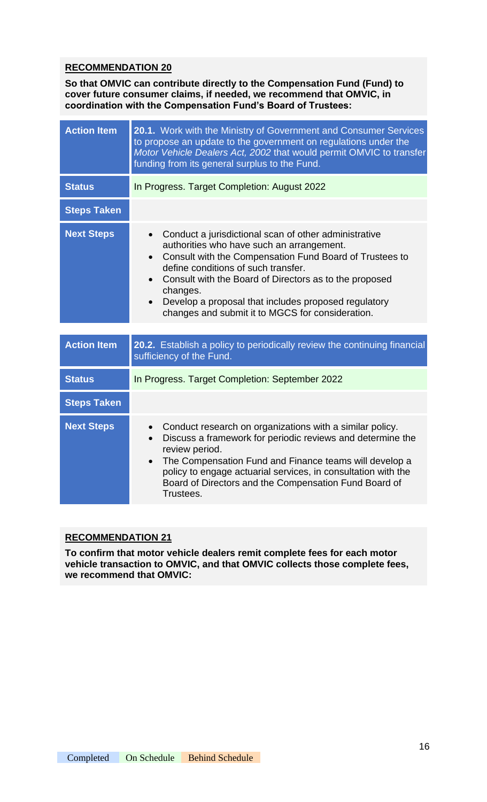**So that OMVIC can contribute directly to the Compensation Fund (Fund) to cover future consumer claims, if needed, we recommend that OMVIC, in coordination with the Compensation Fund's Board of Trustees:**

| <b>Action Item</b> | 20.1. Work with the Ministry of Government and Consumer Services<br>to propose an update to the government on regulations under the<br>Motor Vehicle Dealers Act, 2002 that would permit OMVIC to transfer<br>funding from its general surplus to the Fund.                                                                                                                                                      |
|--------------------|------------------------------------------------------------------------------------------------------------------------------------------------------------------------------------------------------------------------------------------------------------------------------------------------------------------------------------------------------------------------------------------------------------------|
| <b>Status</b>      | In Progress. Target Completion: August 2022                                                                                                                                                                                                                                                                                                                                                                      |
| <b>Steps Taken</b> |                                                                                                                                                                                                                                                                                                                                                                                                                  |
| <b>Next Steps</b>  | Conduct a jurisdictional scan of other administrative<br>$\bullet$<br>authorities who have such an arrangement.<br>Consult with the Compensation Fund Board of Trustees to<br>$\bullet$<br>define conditions of such transfer.<br>Consult with the Board of Directors as to the proposed<br>changes.<br>Develop a proposal that includes proposed regulatory<br>changes and submit it to MGCS for consideration. |
| <b>Action Item</b> | 20.2. Establish a policy to periodically review the continuing financial<br>sufficiency of the Fund.                                                                                                                                                                                                                                                                                                             |
| <b>Status</b>      | In Progress. Target Completion: September 2022                                                                                                                                                                                                                                                                                                                                                                   |
| <b>Steps Taken</b> |                                                                                                                                                                                                                                                                                                                                                                                                                  |
| <b>Next Steps</b>  | Conduct research on organizations with a similar policy.<br>Discuss a framework for periodic reviews and determine the<br>review period.<br>The Compensation Fund and Finance teams will develop a<br>$\bullet$<br>policy to engage actuarial services, in consultation with the<br>Board of Directors and the Compensation Fund Board of<br>Trustees.                                                           |

#### **RECOMMENDATION 21**

**To confirm that motor vehicle dealers remit complete fees for each motor vehicle transaction to OMVIC, and that OMVIC collects those complete fees, we recommend that OMVIC:**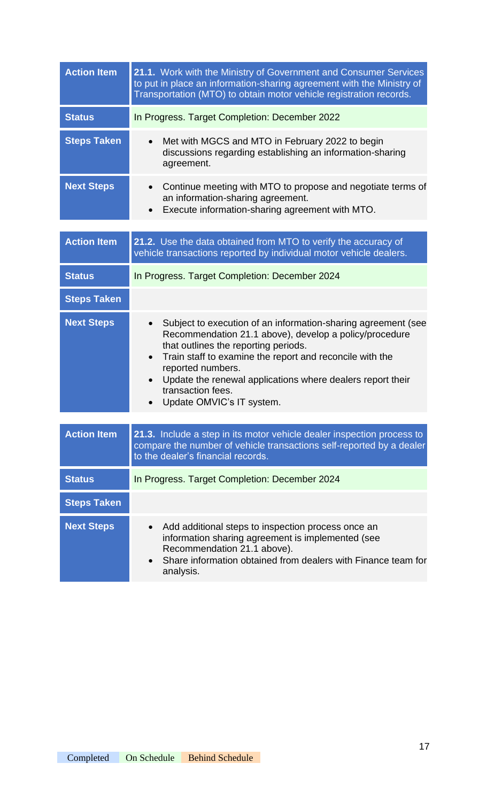| <b>Action Item</b> | 21.1. Work with the Ministry of Government and Consumer Services<br>to put in place an information-sharing agreement with the Ministry of<br>Transportation (MTO) to obtain motor vehicle registration records.                                                                                                                                                               |
|--------------------|-------------------------------------------------------------------------------------------------------------------------------------------------------------------------------------------------------------------------------------------------------------------------------------------------------------------------------------------------------------------------------|
| <b>Status</b>      | In Progress. Target Completion: December 2022                                                                                                                                                                                                                                                                                                                                 |
| <b>Steps Taken</b> | Met with MGCS and MTO in February 2022 to begin<br>$\bullet$<br>discussions regarding establishing an information-sharing<br>agreement.                                                                                                                                                                                                                                       |
| <b>Next Steps</b>  | Continue meeting with MTO to propose and negotiate terms of<br>$\bullet$<br>an information-sharing agreement.<br>Execute information-sharing agreement with MTO.<br>$\bullet$                                                                                                                                                                                                 |
| <b>Action Item</b> | 21.2. Use the data obtained from MTO to verify the accuracy of<br>vehicle transactions reported by individual motor vehicle dealers.                                                                                                                                                                                                                                          |
| <b>Status</b>      | In Progress. Target Completion: December 2024                                                                                                                                                                                                                                                                                                                                 |
| <b>Steps Taken</b> |                                                                                                                                                                                                                                                                                                                                                                               |
| <b>Next Steps</b>  | Subject to execution of an information-sharing agreement (see<br>Recommendation 21.1 above), develop a policy/procedure<br>that outlines the reporting periods.<br>Train staff to examine the report and reconcile with the<br>$\bullet$<br>reported numbers.<br>Update the renewal applications where dealers report their<br>transaction fees.<br>Update OMVIC's IT system. |
| <b>Action Item</b> | 21.3. Include a step in its motor vehicle dealer inspection process to                                                                                                                                                                                                                                                                                                        |
|                    | compare the number of vehicle transactions self-reported by a dealer<br>to the dealer's financial records.                                                                                                                                                                                                                                                                    |
| <b>Status</b>      | In Progress. Target Completion: December 2024                                                                                                                                                                                                                                                                                                                                 |
| <b>Steps Taken</b> |                                                                                                                                                                                                                                                                                                                                                                               |
| <b>Next Steps</b>  | Add additional steps to inspection process once an<br>$\bullet$<br>information sharing agreement is implemented (see<br>Recommendation 21.1 above).<br>Share information obtained from dealers with Finance team for<br>analysis.                                                                                                                                             |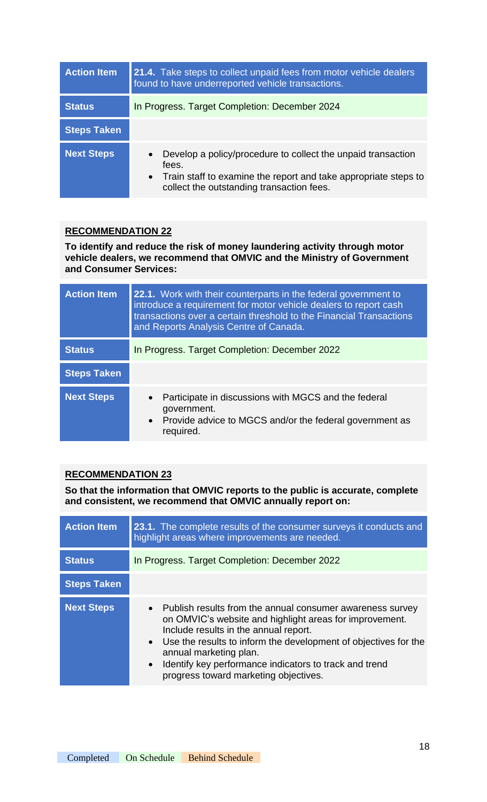| <b>Action Item</b> | 21.4. Take steps to collect unpaid fees from motor vehicle dealers<br>found to have underreported vehicle transactions.                                                                              |
|--------------------|------------------------------------------------------------------------------------------------------------------------------------------------------------------------------------------------------|
| <b>Status</b>      | In Progress. Target Completion: December 2024                                                                                                                                                        |
| <b>Steps Taken</b> |                                                                                                                                                                                                      |
| <b>Next Steps</b>  | Develop a policy/procedure to collect the unpaid transaction<br>$\bullet$<br>fees.<br>• Train staff to examine the report and take appropriate steps to<br>collect the outstanding transaction fees. |

**To identify and reduce the risk of money laundering activity through motor vehicle dealers, we recommend that OMVIC and the Ministry of Government and Consumer Services:**

| <b>Action Item</b> | 22.1. Work with their counterparts in the federal government to<br>introduce a requirement for motor vehicle dealers to report cash<br>transactions over a certain threshold to the Financial Transactions<br>and Reports Analysis Centre of Canada. |
|--------------------|------------------------------------------------------------------------------------------------------------------------------------------------------------------------------------------------------------------------------------------------------|
| <b>Status</b>      | In Progress. Target Completion: December 2022                                                                                                                                                                                                        |
| <b>Steps Taken</b> |                                                                                                                                                                                                                                                      |
| <b>Next Steps</b>  | Participate in discussions with MGCS and the federal<br>$\bullet$<br>government.<br>• Provide advice to MGCS and/or the federal government as<br>required.                                                                                           |

## **RECOMMENDATION 23**

**So that the information that OMVIC reports to the public is accurate, complete and consistent, we recommend that OMVIC annually report on:**

| <b>Action Item</b> | 23.1. The complete results of the consumer surveys it conducts and<br>highlight areas where improvements are needed.                                                                                                                                                                                                                                                           |
|--------------------|--------------------------------------------------------------------------------------------------------------------------------------------------------------------------------------------------------------------------------------------------------------------------------------------------------------------------------------------------------------------------------|
| <b>Status</b>      | In Progress. Target Completion: December 2022                                                                                                                                                                                                                                                                                                                                  |
| <b>Steps Taken</b> |                                                                                                                                                                                                                                                                                                                                                                                |
| <b>Next Steps</b>  | • Publish results from the annual consumer awareness survey<br>on OMVIC's website and highlight areas for improvement.<br>Include results in the annual report.<br>• Use the results to inform the development of objectives for the<br>annual marketing plan.<br>Identify key performance indicators to track and trend<br>$\bullet$<br>progress toward marketing objectives. |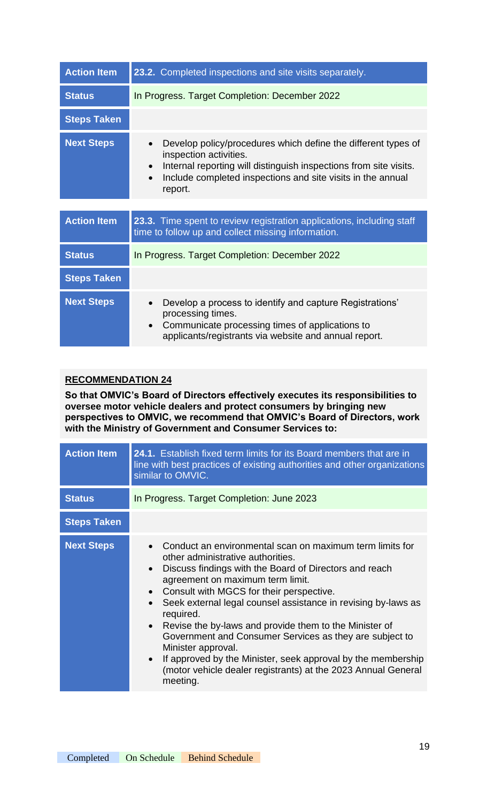| <b>Action Item</b> | 23.2. Completed inspections and site visits separately.                                                                                                                                                                                                                       |
|--------------------|-------------------------------------------------------------------------------------------------------------------------------------------------------------------------------------------------------------------------------------------------------------------------------|
| <b>Status</b>      | In Progress. Target Completion: December 2022                                                                                                                                                                                                                                 |
| <b>Steps Taken</b> |                                                                                                                                                                                                                                                                               |
| <b>Next Steps</b>  | Develop policy/procedures which define the different types of<br>$\bullet$<br>inspection activities.<br>Internal reporting will distinguish inspections from site visits.<br>$\bullet$<br>Include completed inspections and site visits in the annual<br>$\bullet$<br>report. |

| <b>Action Item</b> | 23.3. Time spent to review registration applications, including staff<br>time to follow up and collect missing information.                                                                              |
|--------------------|----------------------------------------------------------------------------------------------------------------------------------------------------------------------------------------------------------|
| <b>Status</b>      | In Progress. Target Completion: December 2022                                                                                                                                                            |
| <b>Steps Taken</b> |                                                                                                                                                                                                          |
| <b>Next Steps</b>  | Develop a process to identify and capture Registrations'<br>$\bullet$<br>processing times.<br>• Communicate processing times of applications to<br>applicants/registrants via website and annual report. |

**So that OMVIC's Board of Directors effectively executes its responsibilities to oversee motor vehicle dealers and protect consumers by bringing new perspectives to OMVIC, we recommend that OMVIC's Board of Directors, work with the Ministry of Government and Consumer Services to:**

| <b>Action Item</b> | 24.1. Establish fixed term limits for its Board members that are in<br>line with best practices of existing authorities and other organizations<br>similar to OMVIC.                                                                                                                                                                                                                                                                                                                                                                                                                                                                                              |
|--------------------|-------------------------------------------------------------------------------------------------------------------------------------------------------------------------------------------------------------------------------------------------------------------------------------------------------------------------------------------------------------------------------------------------------------------------------------------------------------------------------------------------------------------------------------------------------------------------------------------------------------------------------------------------------------------|
| <b>Status</b>      | In Progress. Target Completion: June 2023                                                                                                                                                                                                                                                                                                                                                                                                                                                                                                                                                                                                                         |
| <b>Steps Taken</b> |                                                                                                                                                                                                                                                                                                                                                                                                                                                                                                                                                                                                                                                                   |
| <b>Next Steps</b>  | Conduct an environmental scan on maximum term limits for<br>other administrative authorities.<br>Discuss findings with the Board of Directors and reach<br>$\bullet$<br>agreement on maximum term limit.<br>Consult with MGCS for their perspective.<br>Seek external legal counsel assistance in revising by-laws as<br>$\bullet$<br>required.<br>Revise the by-laws and provide them to the Minister of<br>$\bullet$<br>Government and Consumer Services as they are subject to<br>Minister approval.<br>If approved by the Minister, seek approval by the membership<br>$\bullet$<br>(motor vehicle dealer registrants) at the 2023 Annual General<br>meeting. |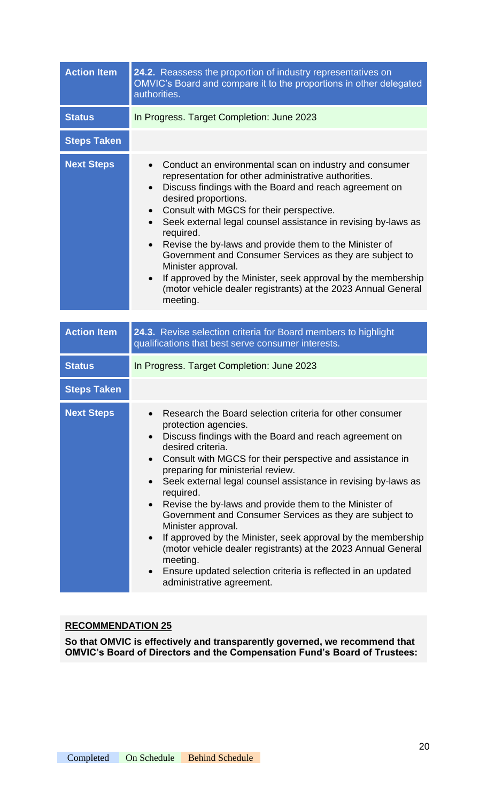| <b>Action Item</b> | 24.2. Reassess the proportion of industry representatives on<br>OMVIC's Board and compare it to the proportions in other delegated<br>authorities.                                                                                                                                                                                                                                                                                                                                                                                                                                                                                                                                                                                                                                                                 |
|--------------------|--------------------------------------------------------------------------------------------------------------------------------------------------------------------------------------------------------------------------------------------------------------------------------------------------------------------------------------------------------------------------------------------------------------------------------------------------------------------------------------------------------------------------------------------------------------------------------------------------------------------------------------------------------------------------------------------------------------------------------------------------------------------------------------------------------------------|
| <b>Status</b>      | In Progress. Target Completion: June 2023                                                                                                                                                                                                                                                                                                                                                                                                                                                                                                                                                                                                                                                                                                                                                                          |
| <b>Steps Taken</b> |                                                                                                                                                                                                                                                                                                                                                                                                                                                                                                                                                                                                                                                                                                                                                                                                                    |
| <b>Next Steps</b>  | Conduct an environmental scan on industry and consumer<br>$\bullet$<br>representation for other administrative authorities.<br>Discuss findings with the Board and reach agreement on<br>$\bullet$<br>desired proportions.<br>Consult with MGCS for their perspective.<br>$\bullet$<br>Seek external legal counsel assistance in revising by-laws as<br>$\bullet$<br>required.<br>Revise the by-laws and provide them to the Minister of<br>$\bullet$<br>Government and Consumer Services as they are subject to<br>Minister approval.<br>If approved by the Minister, seek approval by the membership<br>$\bullet$<br>(motor vehicle dealer registrants) at the 2023 Annual General<br>meeting.                                                                                                                   |
|                    |                                                                                                                                                                                                                                                                                                                                                                                                                                                                                                                                                                                                                                                                                                                                                                                                                    |
| <b>Action Item</b> | 24.3. Revise selection criteria for Board members to highlight<br>qualifications that best serve consumer interests.                                                                                                                                                                                                                                                                                                                                                                                                                                                                                                                                                                                                                                                                                               |
| <b>Status</b>      | In Progress. Target Completion: June 2023                                                                                                                                                                                                                                                                                                                                                                                                                                                                                                                                                                                                                                                                                                                                                                          |
| <b>Steps Taken</b> |                                                                                                                                                                                                                                                                                                                                                                                                                                                                                                                                                                                                                                                                                                                                                                                                                    |
| <b>Next Steps</b>  | Research the Board selection criteria for other consumer<br>protection agencies.<br>Discuss findings with the Board and reach agreement on<br>$\bullet$<br>desired criteria.<br>Consult with MGCS for their perspective and assistance in<br>$\bullet$<br>preparing for ministerial review.<br>Seek external legal counsel assistance in revising by-laws as<br>$\bullet$<br>required.<br>Revise the by-laws and provide them to the Minister of<br>$\bullet$<br>Government and Consumer Services as they are subject to<br>Minister approval.<br>If approved by the Minister, seek approval by the membership<br>$\bullet$<br>(motor vehicle dealer registrants) at the 2023 Annual General<br>meeting.<br>Ensure updated selection criteria is reflected in an updated<br>$\bullet$<br>administrative agreement. |

**So that OMVIC is effectively and transparently governed, we recommend that OMVIC's Board of Directors and the Compensation Fund's Board of Trustees:**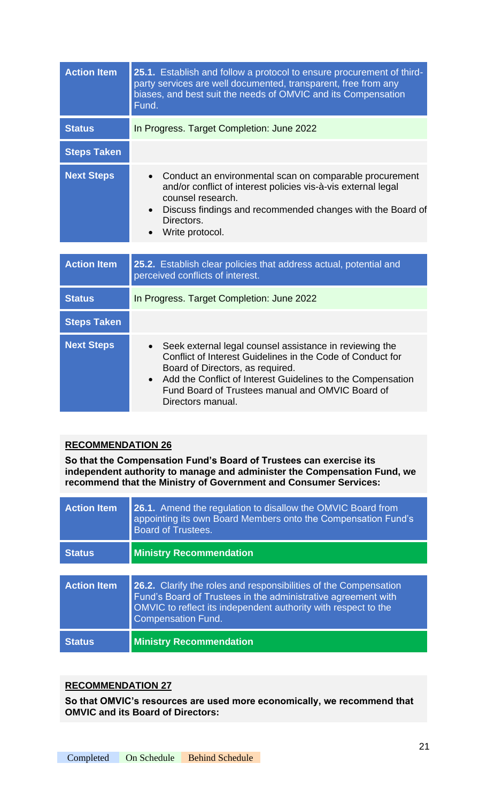| <b>Action Item</b> | 25.1. Establish and follow a protocol to ensure procurement of third-<br>party services are well documented, transparent, free from any<br>biases, and best suit the needs of OMVIC and its Compensation<br>Fund.                                                                                                           |
|--------------------|-----------------------------------------------------------------------------------------------------------------------------------------------------------------------------------------------------------------------------------------------------------------------------------------------------------------------------|
| <b>Status</b>      | In Progress. Target Completion: June 2022                                                                                                                                                                                                                                                                                   |
| <b>Steps Taken</b> |                                                                                                                                                                                                                                                                                                                             |
| <b>Next Steps</b>  | Conduct an environmental scan on comparable procurement<br>$\bullet$<br>and/or conflict of interest policies vis-à-vis external legal<br>counsel research.<br>Discuss findings and recommended changes with the Board of<br>Directors.<br>Write protocol.                                                                   |
| <b>Action Item</b> | 25.2. Establish clear policies that address actual, potential and<br>perceived conflicts of interest.                                                                                                                                                                                                                       |
| <b>Status</b>      | In Progress. Target Completion: June 2022                                                                                                                                                                                                                                                                                   |
| <b>Steps Taken</b> |                                                                                                                                                                                                                                                                                                                             |
| <b>Next Steps</b>  | Seek external legal counsel assistance in reviewing the<br>$\bullet$<br>Conflict of Interest Guidelines in the Code of Conduct for<br>Board of Directors, as required.<br>Add the Conflict of Interest Guidelines to the Compensation<br>$\bullet$<br>Fund Board of Trustees manual and OMVIC Board of<br>Directors manual. |

**So that the Compensation Fund's Board of Trustees can exercise its independent authority to manage and administer the Compensation Fund, we recommend that the Ministry of Government and Consumer Services:**

| <b>Action Item</b> | <b>26.1.</b> Amend the regulation to disallow the OMVIC Board from<br>appointing its own Board Members onto the Compensation Fund's<br><b>Board of Trustees.</b>                                                                 |
|--------------------|----------------------------------------------------------------------------------------------------------------------------------------------------------------------------------------------------------------------------------|
| <b>Status</b>      | <b>Ministry Recommendation</b>                                                                                                                                                                                                   |
|                    |                                                                                                                                                                                                                                  |
| <b>Action Item</b> | 26.2. Clarify the roles and responsibilities of the Compensation<br>Fund's Board of Trustees in the administrative agreement with<br>OMVIC to reflect its independent authority with respect to the<br><b>Compensation Fund.</b> |
| <b>Status</b>      | <b>Ministry Recommendation</b>                                                                                                                                                                                                   |

#### **RECOMMENDATION 27**

**So that OMVIC's resources are used more economically, we recommend that OMVIC and its Board of Directors:**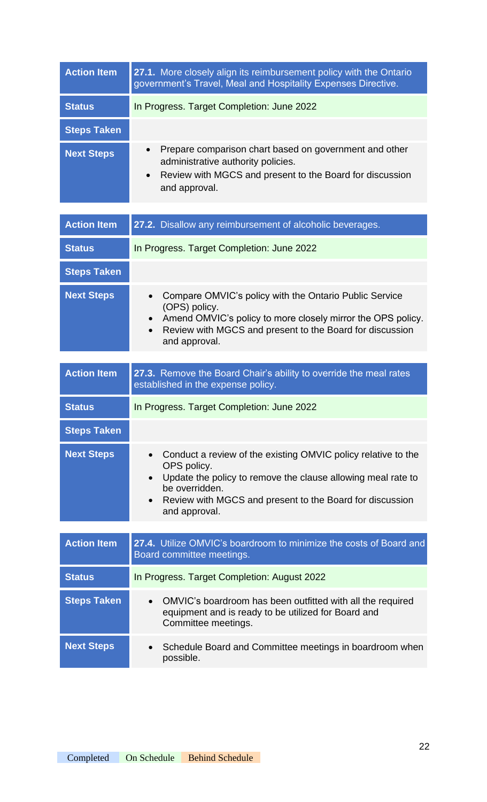| <b>Action Item</b> | 27.1. More closely align its reimbursement policy with the Ontario<br>government's Travel, Meal and Hospitality Expenses Directive.                                                                 |
|--------------------|-----------------------------------------------------------------------------------------------------------------------------------------------------------------------------------------------------|
| <b>Status</b>      | In Progress. Target Completion: June 2022                                                                                                                                                           |
| <b>Steps Taken</b> |                                                                                                                                                                                                     |
| <b>Next Steps</b>  | Prepare comparison chart based on government and other<br>$\bullet$<br>administrative authority policies.<br>Review with MGCS and present to the Board for discussion<br>$\bullet$<br>and approval. |

| <b>Action Item</b> | 27.2. Disallow any reimbursement of alcoholic beverages.                                                                                                                                                                                                 |
|--------------------|----------------------------------------------------------------------------------------------------------------------------------------------------------------------------------------------------------------------------------------------------------|
| <b>Status</b>      | In Progress. Target Completion: June 2022                                                                                                                                                                                                                |
| <b>Steps Taken</b> |                                                                                                                                                                                                                                                          |
| <b>Next Steps</b>  | Compare OMVIC's policy with the Ontario Public Service<br>(OPS) policy.<br>Amend OMVIC's policy to more closely mirror the OPS policy.<br>Review with MGCS and present to the Board for discussion<br>$\bullet$<br>and approval.                         |
| <b>Action Item</b> | 27.3. Remove the Board Chair's ability to override the meal rates<br>established in the expense policy.                                                                                                                                                  |
| <b>Status</b>      | In Progress. Target Completion: June 2022                                                                                                                                                                                                                |
| <b>Steps Taken</b> |                                                                                                                                                                                                                                                          |
| <b>Next Steps</b>  | Conduct a review of the existing OMVIC policy relative to the<br>$\bullet$<br>OPS policy.<br>Update the policy to remove the clause allowing meal rate to<br>be overridden.<br>Review with MGCS and present to the Board for discussion<br>and approval. |
| <b>Action Item</b> | 27.4. Utilize OMVIC's boardroom to minimize the costs of Board and                                                                                                                                                                                       |
|                    | Board committee meetings.                                                                                                                                                                                                                                |
| <b>Status</b>      | In Progress. Target Completion: August 2022                                                                                                                                                                                                              |
| <b>Steps Taken</b> | OMVIC's boardroom has been outfitted with all the required<br>$\bullet$<br>equipment and is ready to be utilized for Board and<br>Committee meetings.                                                                                                    |
| <b>Next Steps</b>  | Schedule Board and Committee meetings in boardroom when<br>$\bullet$<br>possible.                                                                                                                                                                        |